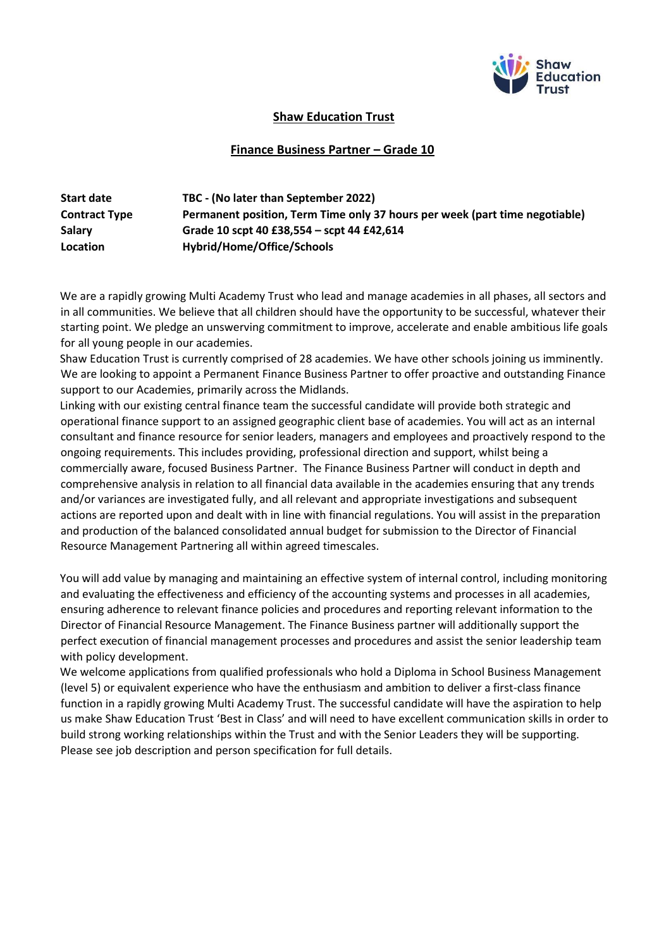

## **Shaw Education Trust**

## **Finance Business Partner – Grade 10**

| <b>Start date</b>    | TBC - (No later than September 2022)                                        |
|----------------------|-----------------------------------------------------------------------------|
| <b>Contract Type</b> | Permanent position, Term Time only 37 hours per week (part time negotiable) |
| <b>Salary</b>        | Grade 10 scpt 40 £38,554 - scpt 44 £42,614                                  |
| Location             | Hybrid/Home/Office/Schools                                                  |

We are a rapidly growing Multi Academy Trust who lead and manage academies in all phases, all sectors and in all communities. We believe that all children should have the opportunity to be successful, whatever their starting point. We pledge an unswerving commitment to improve, accelerate and enable ambitious life goals for all young people in our academies.

Shaw Education Trust is currently comprised of 28 academies. We have other schools joining us imminently. We are looking to appoint a Permanent Finance Business Partner to offer proactive and outstanding Finance support to our Academies, primarily across the Midlands.

Linking with our existing central finance team the successful candidate will provide both strategic and operational finance support to an assigned geographic client base of academies. You will act as an internal consultant and finance resource for senior leaders, managers and employees and proactively respond to the ongoing requirements. This includes providing, professional direction and support, whilst being a commercially aware, focused Business Partner. The Finance Business Partner will conduct in depth and comprehensive analysis in relation to all financial data available in the academies ensuring that any trends and/or variances are investigated fully, and all relevant and appropriate investigations and subsequent actions are reported upon and dealt with in line with financial regulations. You will assist in the preparation and production of the balanced consolidated annual budget for submission to the Director of Financial Resource Management Partnering all within agreed timescales.

You will add value by managing and maintaining an effective system of internal control, including monitoring and evaluating the effectiveness and efficiency of the accounting systems and processes in all academies, ensuring adherence to relevant finance policies and procedures and reporting relevant information to the Director of Financial Resource Management. The Finance Business partner will additionally support the perfect execution of financial management processes and procedures and assist the senior leadership team with policy development.

We welcome applications from qualified professionals who hold a Diploma in School Business Management (level 5) or equivalent experience who have the enthusiasm and ambition to deliver a first-class finance function in a rapidly growing Multi Academy Trust. The successful candidate will have the aspiration to help us make Shaw Education Trust 'Best in Class' and will need to have excellent communication skills in order to build strong working relationships within the Trust and with the Senior Leaders they will be supporting. Please see job description and person specification for full details.